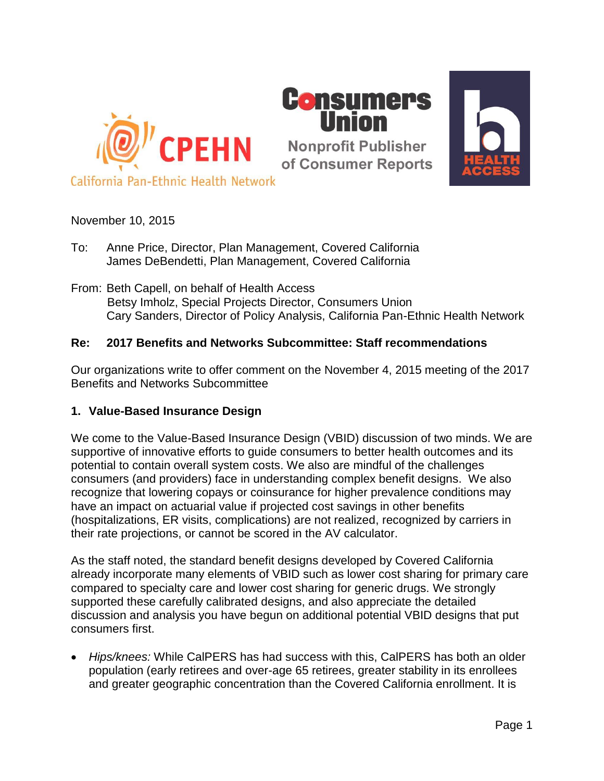



## November 10, 2015

- To: Anne Price, Director, Plan Management, Covered California James DeBendetti, Plan Management, Covered California
- From: Beth Capell, on behalf of Health Access Betsy Imholz, Special Projects Director, Consumers Union Cary Sanders, Director of Policy Analysis, California Pan-Ethnic Health Network

# **Re: 2017 Benefits and Networks Subcommittee: Staff recommendations**

Our organizations write to offer comment on the November 4, 2015 meeting of the 2017 Benefits and Networks Subcommittee

## **1. Value-Based Insurance Design**

We come to the Value-Based Insurance Design (VBID) discussion of two minds. We are supportive of innovative efforts to guide consumers to better health outcomes and its potential to contain overall system costs. We also are mindful of the challenges consumers (and providers) face in understanding complex benefit designs. We also recognize that lowering copays or coinsurance for higher prevalence conditions may have an impact on actuarial value if projected cost savings in other benefits (hospitalizations, ER visits, complications) are not realized, recognized by carriers in their rate projections, or cannot be scored in the AV calculator.

As the staff noted, the standard benefit designs developed by Covered California already incorporate many elements of VBID such as lower cost sharing for primary care compared to specialty care and lower cost sharing for generic drugs. We strongly supported these carefully calibrated designs, and also appreciate the detailed discussion and analysis you have begun on additional potential VBID designs that put consumers first.

 *Hips/knees:* While CalPERS has had success with this, CalPERS has both an older population (early retirees and over-age 65 retirees, greater stability in its enrollees and greater geographic concentration than the Covered California enrollment. It is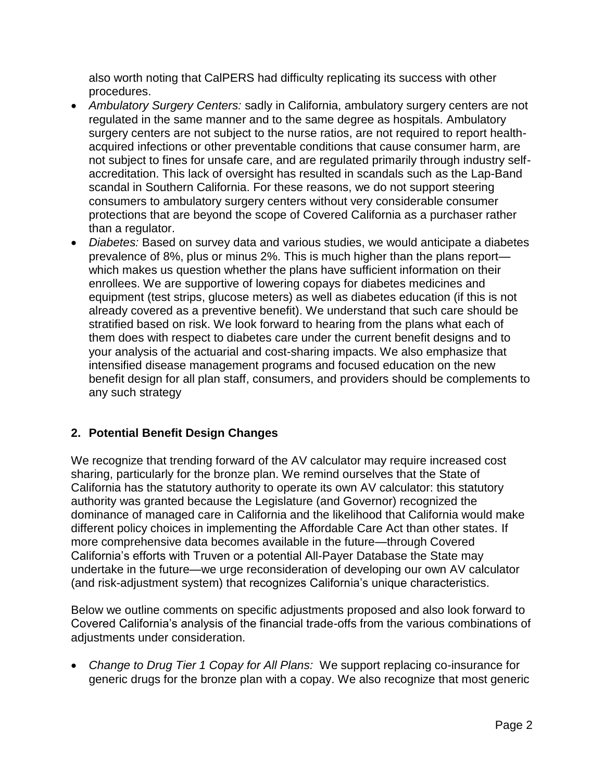also worth noting that CalPERS had difficulty replicating its success with other procedures.

- *Ambulatory Surgery Centers:* sadly in California, ambulatory surgery centers are not regulated in the same manner and to the same degree as hospitals. Ambulatory surgery centers are not subject to the nurse ratios, are not required to report healthacquired infections or other preventable conditions that cause consumer harm, are not subject to fines for unsafe care, and are regulated primarily through industry selfaccreditation. This lack of oversight has resulted in scandals such as the Lap-Band scandal in Southern California. For these reasons, we do not support steering consumers to ambulatory surgery centers without very considerable consumer protections that are beyond the scope of Covered California as a purchaser rather than a regulator.
- *Diabetes:* Based on survey data and various studies, we would anticipate a diabetes prevalence of 8%, plus or minus 2%. This is much higher than the plans report which makes us question whether the plans have sufficient information on their enrollees. We are supportive of lowering copays for diabetes medicines and equipment (test strips, glucose meters) as well as diabetes education (if this is not already covered as a preventive benefit). We understand that such care should be stratified based on risk. We look forward to hearing from the plans what each of them does with respect to diabetes care under the current benefit designs and to your analysis of the actuarial and cost-sharing impacts. We also emphasize that intensified disease management programs and focused education on the new benefit design for all plan staff, consumers, and providers should be complements to any such strategy

# **2. Potential Benefit Design Changes**

We recognize that trending forward of the AV calculator may require increased cost sharing, particularly for the bronze plan. We remind ourselves that the State of California has the statutory authority to operate its own AV calculator: this statutory authority was granted because the Legislature (and Governor) recognized the dominance of managed care in California and the likelihood that California would make different policy choices in implementing the Affordable Care Act than other states. If more comprehensive data becomes available in the future—through Covered California's efforts with Truven or a potential All-Payer Database the State may undertake in the future—we urge reconsideration of developing our own AV calculator (and risk-adjustment system) that recognizes California's unique characteristics.

Below we outline comments on specific adjustments proposed and also look forward to Covered California's analysis of the financial trade-offs from the various combinations of adjustments under consideration.

 *Change to Drug Tier 1 Copay for All Plans:* We support replacing co-insurance for generic drugs for the bronze plan with a copay. We also recognize that most generic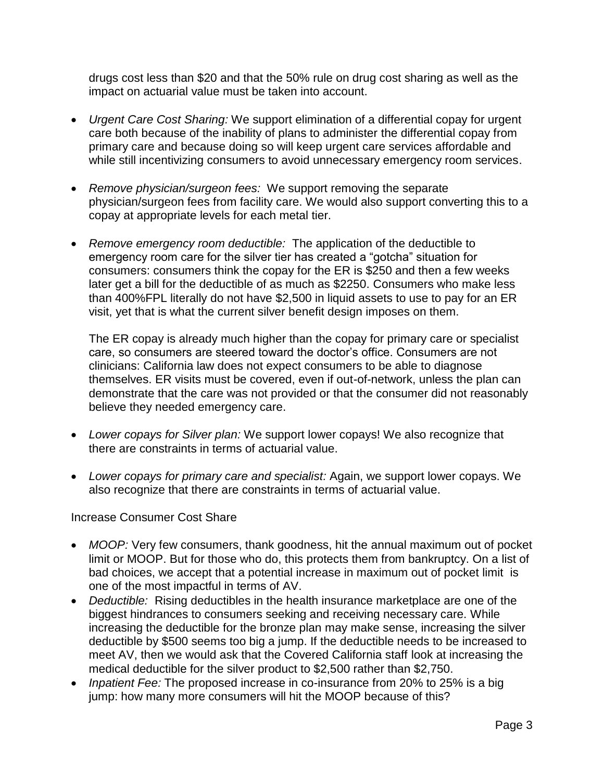drugs cost less than \$20 and that the 50% rule on drug cost sharing as well as the impact on actuarial value must be taken into account.

- *Urgent Care Cost Sharing:* We support elimination of a differential copay for urgent care both because of the inability of plans to administer the differential copay from primary care and because doing so will keep urgent care services affordable and while still incentivizing consumers to avoid unnecessary emergency room services.
- *Remove physician/surgeon fees:* We support removing the separate physician/surgeon fees from facility care. We would also support converting this to a copay at appropriate levels for each metal tier.
- *Remove emergency room deductible:* The application of the deductible to emergency room care for the silver tier has created a "gotcha" situation for consumers: consumers think the copay for the ER is \$250 and then a few weeks later get a bill for the deductible of as much as \$2250. Consumers who make less than 400%FPL literally do not have \$2,500 in liquid assets to use to pay for an ER visit, yet that is what the current silver benefit design imposes on them.

The ER copay is already much higher than the copay for primary care or specialist care, so consumers are steered toward the doctor's office. Consumers are not clinicians: California law does not expect consumers to be able to diagnose themselves. ER visits must be covered, even if out-of-network, unless the plan can demonstrate that the care was not provided or that the consumer did not reasonably believe they needed emergency care.

- *Lower copays for Silver plan:* We support lower copays! We also recognize that there are constraints in terms of actuarial value.
- *Lower copays for primary care and specialist:* Again, we support lower copays. We also recognize that there are constraints in terms of actuarial value.

## Increase Consumer Cost Share

- *MOOP:* Very few consumers, thank goodness, hit the annual maximum out of pocket limit or MOOP. But for those who do, this protects them from bankruptcy. On a list of bad choices, we accept that a potential increase in maximum out of pocket limit is one of the most impactful in terms of AV.
- *Deductible:* Rising deductibles in the health insurance marketplace are one of the biggest hindrances to consumers seeking and receiving necessary care. While increasing the deductible for the bronze plan may make sense, increasing the silver deductible by \$500 seems too big a jump. If the deductible needs to be increased to meet AV, then we would ask that the Covered California staff look at increasing the medical deductible for the silver product to \$2,500 rather than \$2,750.
- *Inpatient Fee:* The proposed increase in co-insurance from 20% to 25% is a big jump: how many more consumers will hit the MOOP because of this?